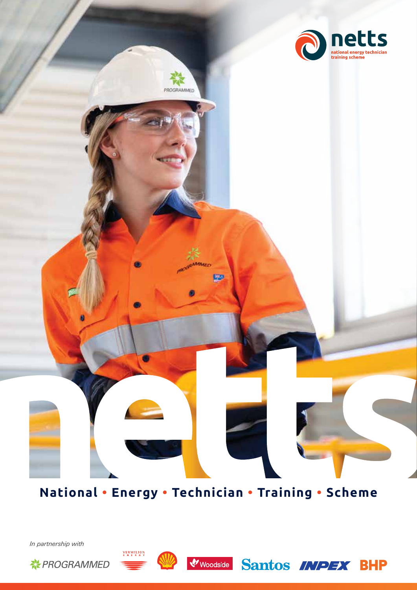

**National • Energy • Technician • Training • Scheme**

*In partnership with*





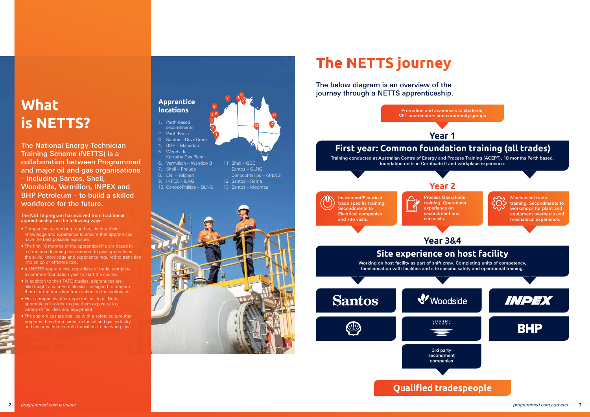Mechanical trade training. Secondments to workshops for plant and equipment overhauls and mechanical experience.

INPEX



## **What is NETTS?**

The National Energy Technician Training Scheme (NETTS) is a collaboration between Programmed and major oil and gas organisations – including Santos, Shell, Woodside, Vermilion, INPEX and BHP Petroleum – to build a skilled workforce for the future.

### The NETTS program has evolved from traditional apprenticeships in the following ways:

- Companies are working together, sharing their knowledge and experience to ensure that apprentices have the best possible exposure.
- The first 18 months of the apprenticeship are based in a structured learning environment to give apprentices the skills, knowledge and experience required to transition into an on or offshore role.
- All NETTS apprentices, regardless of trade, complete a common foundation year to start the course.
- In addition to their TAFE studies, apprentices are also taught a variety of life skills designed to prepare them for the transition from school to the workplace.
- Host companies offer opportunities to all Netts apprentices in order to give them exposure to a variety of facilities and equipment.
- The apprentices are instilled with a safety culture that prepares them for a career in the oil and gas industry and ensures their smooth transition to the workplace.
- Perth-based secondments
- 2. Perth Basin
- 3. Santos Devil Creek
- 4. BHP Macedon
- 5. Woodside –
- Karratha Gas Plant
- 6. Vermillion Wandoo B
- 7. Shell Prelude
- 8. ENI Yelcherr
- 9. INPEX ILNG
- 10. ConocoPhillips DLNG



## **The NETTS journey**

The below diagram is an overview of the journey through a NETTS apprenticeship.



### **Apprentice locations**





11. Shell – QGC Santos – GLNG

ConocoPhillips – APLNG

12. Santos – Roma 13. Santos – Moomba

**<sup>7</sup> <sup>10</sup>**

**11**

**<sup>12</sup> <sup>13</sup>**

**8 9**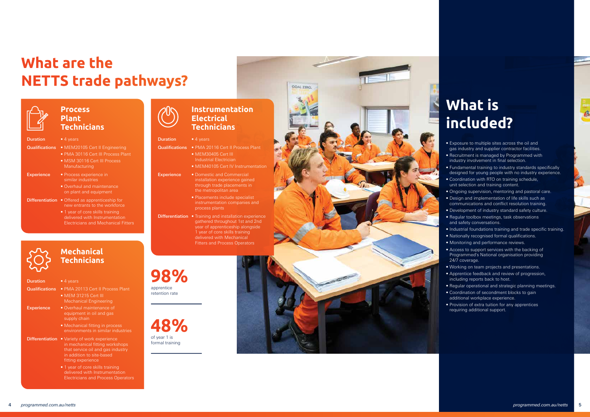## **What are the NETTS trade pathways?**



### **Process Plant Technicians**

- **Duration** 4 years
- 
- Qualifications MEM20105 Cert II Engineering
	- PMA 30116 Cert III Process Plant • MSM 30116 Cert III Process
	- Manufacturing
- **Experience** Process experience in similar industries
	- Overhaul and maintenance on plant and equipment
- Differentiation Offered as apprenticeship for new entrants to the workforce
	- 1 year of core skills training delivered with Instrumentation Electricians and Mechanical Fitters



 **Mechanical** 

## **Technicians**

### Duration • 4 years

- **Duration** 4 years
- Qualifications PMA 20116 Cert II Process Plant

- Qualifications PMA 20113 Cert II Process Plant
	- MEM 31215 Cert III Mechanical Engineering

- Experience Overhaul maintenance of equipment in oil and gas supply chain
	- Mechanical fitting in process environments in similar industries
- **Differentiation Variety of work experience** in mechanical fitting workshops that service oil and gas industry in addition to site-based fitting experience
	- 1 year of core skills training delivered with Instrumentation Electricians and Process Operators

### **Instrumentation Electrical Technicians**



- MEM40105 Cert IV Instrumentation
- Experience Domestic and Commercial installation experience gained through trade placements in the metropolitan area
	- Placements include specialist instrumentation companies and process plants
- Differentiation Training and installation experience gathered throughout 1st and 2nd year of apprenticeship alongside 1 year of core skills training delivered with Mechanical Fitters and Process Operators

apprentice retention rate

## **What is included?**

- Exposure to multiple sites across the oil and gas industry and supplier contractor facilities.
- Recruitment is managed by Programmed with industry involvement in final selection.
- Fundamental training to industry standards specifically designed for young people with no industry experience.
- Coordination with RTO on training schedule, unit selection and training content.
- Ongoing supervision, mentoring and pastoral care.
- Design and implementation of life skills such as communications and conflict resolution training.
- Development of industry standard safety culture.
- Regular toolbox meetings, task observations and safety conversations.
- Industrial foundations training and trade specific training.
- Nationally recognised formal qualifications.
- Monitoring and performance reviews.
- Access to support services with the backing of Programmed's National organisation providing 24/7 coverage.
- Working on team projects and presentations.
- Apprentice feedback and review of progression, including reports back to host.
- Regular operational and strategic planning meetings.
- Coordination of secondment blocks to gain additional workplace experience.
- Provision of extra tuition for any apprentices requiring additional support.

**48%** of year 1 is formal training



GOAL 7FRO

## **98%**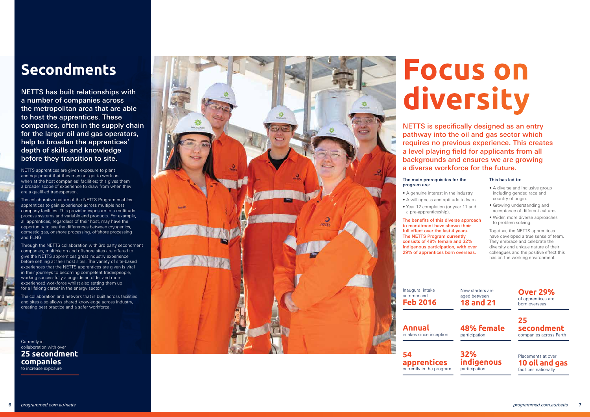### **Secondments**

NETTS has built relationships with a number of companies across the metropolitan area that are able to host the apprentices. These companies, often in the supply chain for the larger oil and gas operators, help to broaden the apprentices' depth of skills and knowledge before they transition to site.

NETTS apprentices are given exposure to plant and equipment that they may not get to work on when at the host companies' facilities; this gives them a broader scope of experience to draw from when they are a qualified tradesperson.

The collaborative nature of the NETTS Program enables apprentices to gain experience across multiple host company facilities. This provided exposure to a multitude process systems and variable end products. For example, all apprentices, regardless of their host, may have the opportunity to see the differences between cryogenics, domestic gas, onshore processing, offshore processing and FLNG.

The main prerequisites for the program are:

Through the NETTS collaboration with 3rd party secondment companies, multiple on and offshore sites are offered to give the NETTS apprentices great industry experience before settling at their host sites. The variety of site-based experiences that the NETTS apprentices are given is vital in their journeys to becoming competent tradespeople, working successfully alongside an older and more experienced workforce whilst also setting them up for a lifelong career in the energy sector.

- A diverse and inclusive group including gender, race and country of origin.
- Growing understanding and acceptance of different cultures.
- Wider, more diverse approaches to problem solving.

The collaboration and network that is built across facilities and sites also allows shared knowledge across industry, creating best practice and a safer workforce.

Currently in collaboration with over **25 secondment companies** to increase exposure



# **Focus on diversity**

NETTS is specifically designed as an entry pathway into the oil and gas sector which requires no previous experience. This creates a level playing field for applicants from all backgrounds and ensures we are growing a diverse workforce for the future.

- A genuine interest in the industry.
- 
- a pre-apprenticeship).

• A willingness and aptitude to learn. • Year 12 completion (or year 11 and

The benefits of this diverse approach to recruitment have shown their full effect over the last 4 years. The NETTS Program currently consists of 48% female and 32% Indigenous participation, with over 29% of apprentices born overseas.

### This has led to:

Together, the NETTS apprentices have developed a true sense of team. They embrace and celebrate the diversity and unique nature of their colleagues and the positive effect this has on the working environment.

Inaugural intake commenced **Feb 2016**

**Annual** intakes since inception

**54 apprentices**  currently in the program New starters are aged between **18 and 21**

**48% female**  participation







**25 secondment**  companies across Perth

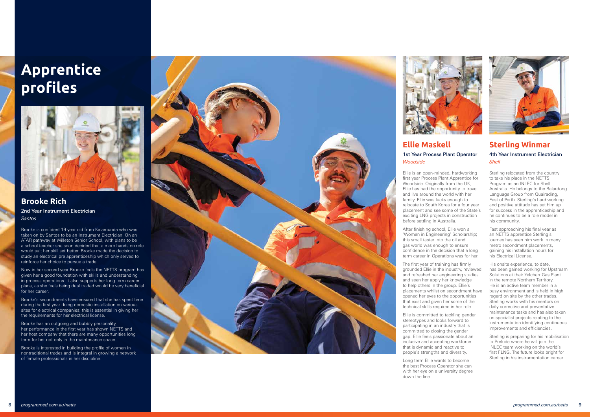**Brooke Rich** 2nd Year Instrument Electrician *Santos* 

Brooke is confident 19 year old from Kalamunda who was taken on by Santos to be an Instrument Electrician. On an ATAR pathway at Willeton Senior School, with plans to be a school teacher she soon decided that a more hands on role would suit her skill set better. Brooke made the decision to study an electrical pre apprenticeship which only served to reinforce her choice to pursue a trade.

Now in her second year Brooke feels the NETTS program has given her a good foundation with skills and understanding in process operations. It also supports her long term career plans, as she feels being dual traded would be very beneficial for her career.

Brooke's secondments have ensured that she has spent time during the first year doing domestic installation on various sites for electrical companies; this is essential in giving her the requirements for her electrical license.

Brooke has an outgoing and bubbly personality, her performance in the first year has shown NETTS and her host company that there are many opportunities long term for her not only in the maintenance space.

Brooke is interested in building the profile of women in nontraditional trades and is integral in growing a network of female professionals in her discipline.





### **Sterling Winmar**

### 4th Year Instrument Electrician *Shell*

Sterling relocated from the country to take his place in the NETTS Program as an INLEC for Shell Australia. He belongs to the Balardong Language Group from Quairading, East of Perth. Sterling's hard working and positive attitude has set him up for success in the apprenticeship and he continues to be a role model in his community.

Fast approaching his final year as an NETTS apprentice Sterling's journey has seen him work in many metro secondment placements, gaining his installation hours for his Electrical License.

His onsite experience, to date, has been gained working for Upstream Solutions at their Yelcherr Gas Plant in the remote Northern Territory. He is an active team member in a busy environment and is held in high regard on site by the other trades. Sterling works with his mentors on daily corrective and preventative maintenance tasks and has also taken on specialist projects relating to the instrumentation identifying continuous improvements and efficiencies.

Sterling is preparing for his mobilisation to Prelude where he will join the INLEC team working on the world's first FLNG. The future looks bright for Sterling in his instrumentation career.

## **Apprentice profiles**



### **Ellie Maskell**  1st Year Process Plant Operator *Woodside*

Ellie is an open-minded, hardworking first year Process Plant Apprentice for Woodside. Originally from the UK. Ellie has had the opportunity to travel and live around the world with her family. Ellie was lucky enough to relocate to South Korea for a four year placement and see some of the State's exciting LNG projects in construction before settling in Australia.

After finishing school, Ellie won a 'Women in Engineering' Scholarship; this small taster into the oil and gas world was enough to ensure confidence in the decision that a long term career in Operations was for her.

The first year of training has firmly grounded Ellie in the industry, reviewed and refreshed her engineering studies and seen her apply her knowledge to help others in the group. Ellie's placements whilst on secondment have opened her eyes to the opportunities that exist and given her some of the technical skills required in her role.

Ellie is committed to tackling gender stereotypes and looks forward to participating in an industry that is committed to closing the gender gap. Ellie feels passionate about an inclusive and accepting workforce that is dynamic and reactive to people's strengths and diversity.

Long term Ellie wants to become the best Process Operator she can with her eye on a university degree down the line.

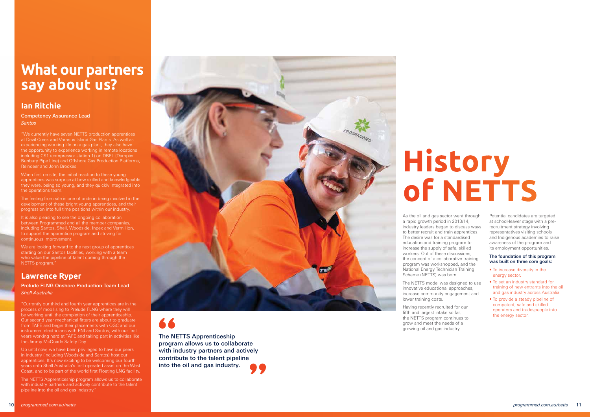# **History of NETTS**

As the oil and gas sector went through a rapid growth period in 2013/14, industry leaders began to discuss ways to better recruit and train apprentices. The desire was for a standardised education and training program to increase the supply of safe, skilled workers. Out of these discussions, the concept of a collaborative training program was workshopped, and the National Energy Technician Training Scheme (NETTS) was born.

The NETTS model was designed to use innovative educational approaches, increase community engagement and lower training costs.

Having recently recruited for our fifth and largest intake so far, the NETTS program continues to grow and meet the needs of a growing oil and gas industry.

Potential candidates are targeted at school-leaver stage with a prerecruitment strategy involving representatives visiting schools and Indigenous academies to raise awareness of the program and its employment opportunities.

When first on site, the initial reaction to these young apprentices was surprise at how skilled and knowledgeable they were, being so young, and they quickly integrated into the operations team.

### The foundation of this program was built on three core goals:

It is also pleasing to see the ongoing collaboration between Programmed and all the member companies, including Santos, Shell, Woodside, Inpex and Vermillion, to support the apprentice program and striving for continuous improvement.

- To increase diversity in the energy sector.
- To set an industry standard for training of new entrants into the oil and gas industry across Australia.
- To provide a steady pipeline of competent, safe and skilled operators and tradespeople into the energy sector.

We are looking forward to the next group of apprentices starting on our Santos facilities, working with a team who value the pipeline of talent coming through the NETTS program."

## **What our partners say about us?**

### **Ian Ritchie**

Competency Assurance Lead *Santos* 

"We currently have seven NETTS production apprentices at Devil Creek and Varanus Island Gas Plants. As well as experiencing working life on a gas plant, they also have the opportunity to experience working in remote locations including CS1 (compressor station 1) on DBPL (Dampier Bunbury Pipe Line) and Offshore Gas Production Platforms, Reindeer and John Brookes.

The feeling from site is one of pride in being involved in the development of these bright young apprentices, and their progression into full time positions within our industry.

### **Lawrence Ryper**

Prelude FLNG Onshore Production Team Lead *Shell Australia*

"Currently our third and fourth year apprentices are in the process of mobilising to Prelude FLNG where they will be working until the completion of their apprenticeship. Our second year mechanical fitters are about to graduate from TAFE and begin their placements with QGC and our instrument electricians with ENI and Santos, with our first years working hard at TAFE and taking part in activities like the Jimmy McQuade Safety Day.

Up until now, we have been privileged to have our peers in industry (including Woodside and Santos) host our apprentices. It's now exciting to be welcoming our fourth years onto Shell Australia's first operated asset on the West Coast, and to be part of the world first Floating LNG facility.

The NETTS Apprenticeship program allows us to collaborate with industry partners and actively contribute to the talent pipeline into the oil and gas industry."



66

The NETTS Apprenticeship program allows us to collaborate with industry partners and actively contribute to the talent pipeline into the oil and gas industry.